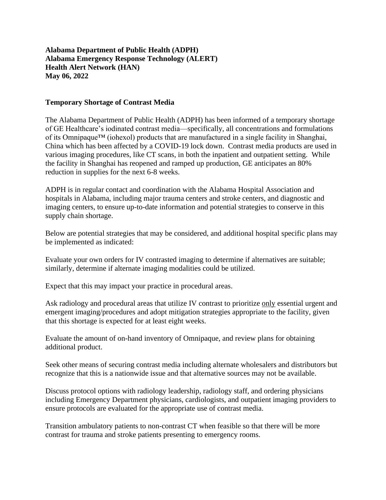**Alabama Department of Public Health (ADPH) Alabama Emergency Response Technology (ALERT) Health Alert Network (HAN) May 06, 2022**

## **Temporary Shortage of Contrast Media**

The Alabama Department of Public Health (ADPH) has been informed of a temporary shortage of GE Healthcare's iodinated contrast media—specifically, all concentrations and formulations of its Omnipaque™ (iohexol) products that are manufactured in a single facility in Shanghai, China which has been affected by a COVID-19 lock down. Contrast media products are used in various imaging procedures, like CT scans, in both the inpatient and outpatient setting. While the facility in Shanghai has reopened and ramped up production, GE anticipates an 80% reduction in supplies for the next 6-8 weeks.

ADPH is in regular contact and coordination with the Alabama Hospital Association and hospitals in Alabama, including major trauma centers and stroke centers, and diagnostic and imaging centers, to ensure up-to-date information and potential strategies to conserve in this supply chain shortage.

Below are potential strategies that may be considered, and additional hospital specific plans may be implemented as indicated:

Evaluate your own orders for IV contrasted imaging to determine if alternatives are suitable; similarly, determine if alternate imaging modalities could be utilized.

Expect that this may impact your practice in procedural areas.

Ask radiology and procedural areas that utilize IV contrast to prioritize only essential urgent and emergent imaging/procedures and adopt mitigation strategies appropriate to the facility, given that this shortage is expected for at least eight weeks.

Evaluate the amount of on-hand inventory of Omnipaque, and review plans for obtaining additional product.

Seek other means of securing contrast media including alternate wholesalers and distributors but recognize that this is a nationwide issue and that alternative sources may not be available.

Discuss protocol options with radiology leadership, radiology staff, and ordering physicians including Emergency Department physicians, cardiologists, and outpatient imaging providers to ensure protocols are evaluated for the appropriate use of contrast media.

Transition ambulatory patients to non-contrast CT when feasible so that there will be more contrast for trauma and stroke patients presenting to emergency rooms.